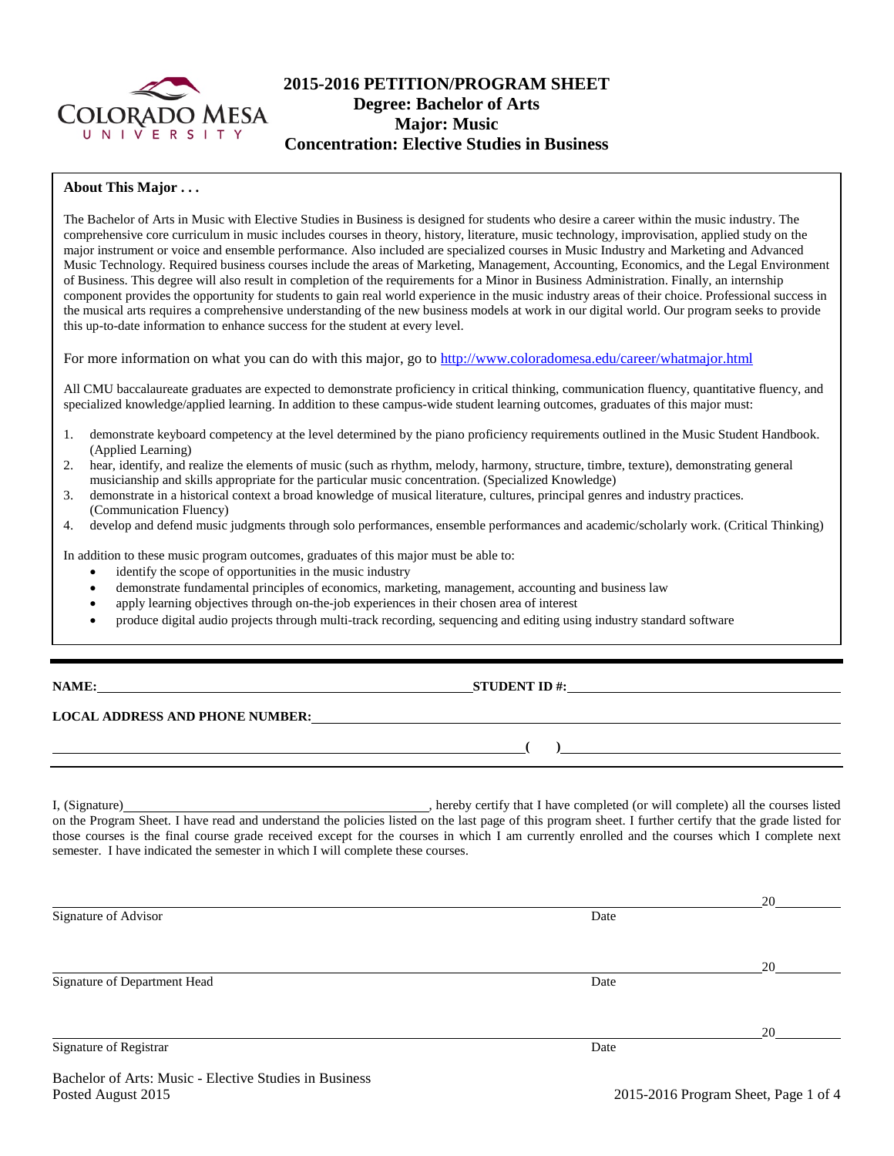

# **2015-2016 PETITION/PROGRAM SHEET Degree: Bachelor of Arts Major: Music Concentration: Elective Studies in Business**

### **About This Major . . .**

The Bachelor of Arts in Music with Elective Studies in Business is designed for students who desire a career within the music industry. The comprehensive core curriculum in music includes courses in theory, history, literature, music technology, improvisation, applied study on the major instrument or voice and ensemble performance. Also included are specialized courses in Music Industry and Marketing and Advanced Music Technology. Required business courses include the areas of Marketing, Management, Accounting, Economics, and the Legal Environment of Business. This degree will also result in completion of the requirements for a Minor in Business Administration. Finally, an internship component provides the opportunity for students to gain real world experience in the music industry areas of their choice. Professional success in the musical arts requires a comprehensive understanding of the new business models at work in our digital world. Our program seeks to provide this up-to-date information to enhance success for the student at every level.

For more information on what you can do with this major, go to<http://www.coloradomesa.edu/career/whatmajor.html>

All CMU baccalaureate graduates are expected to demonstrate proficiency in critical thinking, communication fluency, quantitative fluency, and specialized knowledge/applied learning. In addition to these campus-wide student learning outcomes, graduates of this major must:

- 1. demonstrate keyboard competency at the level determined by the piano proficiency requirements outlined in the Music Student Handbook. (Applied Learning)
- 2. hear, identify, and realize the elements of music (such as rhythm, melody, harmony, structure, timbre, texture), demonstrating general musicianship and skills appropriate for the particular music concentration. (Specialized Knowledge)
- 3. demonstrate in a historical context a broad knowledge of musical literature, cultures, principal genres and industry practices. (Communication Fluency)
- 4. develop and defend music judgments through solo performances, ensemble performances and academic/scholarly work. (Critical Thinking)

In addition to these music program outcomes, graduates of this major must be able to:

- identify the scope of opportunities in the music industry
- demonstrate fundamental principles of economics, marketing, management, accounting and business law
- apply learning objectives through on-the-job experiences in their chosen area of interest
- produce digital audio projects through multi-track recording, sequencing and editing using industry standard software

**NAME:** STUDENT ID #:

## **LOCAL ADDRESS AND PHONE NUMBER:**

I, (Signature) hereby certify that I have completed (or will complete) all the courses listed on the Program Sheet. I have read and understand the policies listed on the last page of this program sheet. I further certify that the grade listed for those courses is the final course grade received except for the courses in which I am currently enrolled and the courses which I complete next semester. I have indicated the semester in which I will complete these courses.

|                              |      | 20 |
|------------------------------|------|----|
| Signature of Advisor         | Date |    |
|                              |      |    |
|                              |      |    |
|                              |      | 20 |
| Signature of Department Head | Date |    |
|                              |      |    |
|                              |      |    |
|                              |      | 20 |
| Signature of Registrar       | Date |    |
|                              |      |    |

**( )**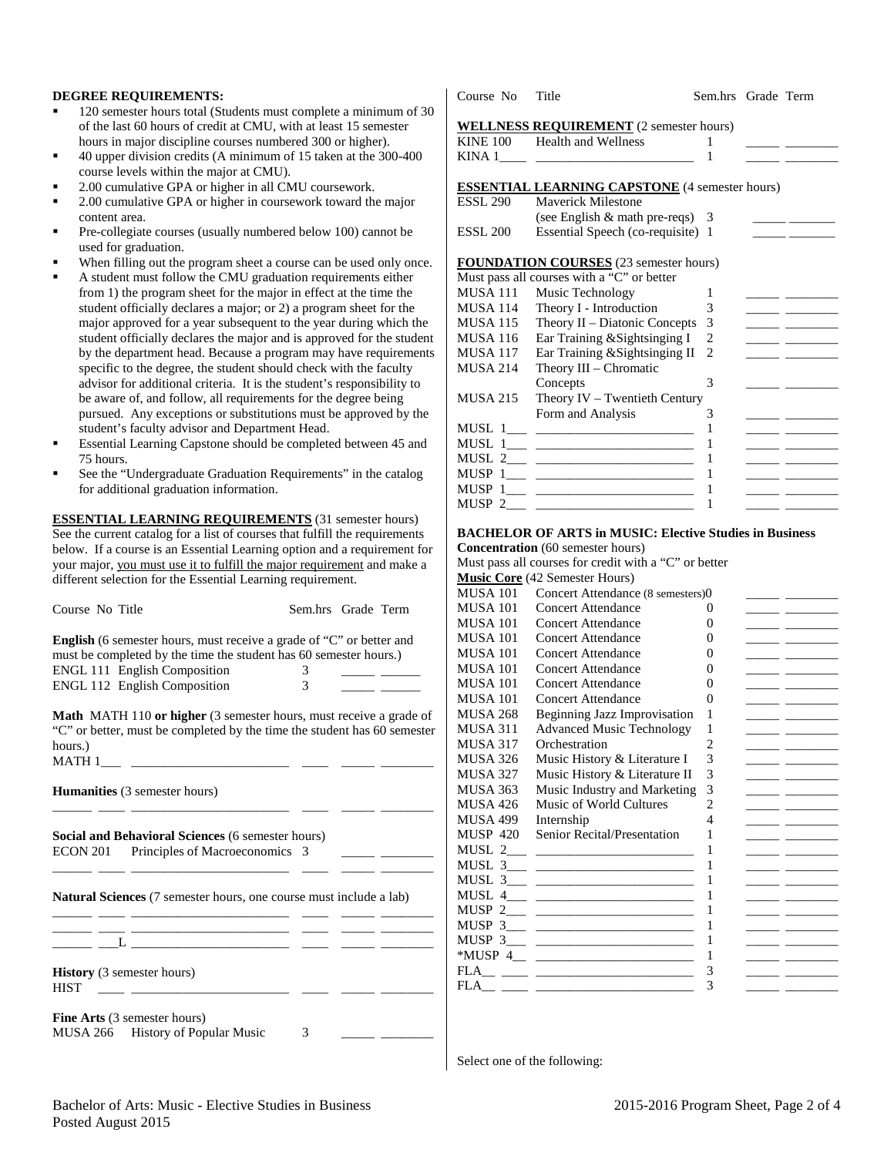### **DEGREE REQUIREMENTS:**

- 120 semester hours total (Students must complete a minimum of 30 of the last 60 hours of credit at CMU, with at least 15 semester hours in major discipline courses numbered 300 or higher).
- 40 upper division credits (A minimum of 15 taken at the 300-400 course levels within the major at CMU).
- 2.00 cumulative GPA or higher in all CMU coursework.
- 2.00 cumulative GPA or higher in coursework toward the major content area.
- Pre-collegiate courses (usually numbered below 100) cannot be used for graduation.
- When filling out the program sheet a course can be used only once.
- A student must follow the CMU graduation requirements either from 1) the program sheet for the major in effect at the time the student officially declares a major; or 2) a program sheet for the major approved for a year subsequent to the year during which the student officially declares the major and is approved for the student by the department head. Because a program may have requirements specific to the degree, the student should check with the faculty advisor for additional criteria. It is the student's responsibility to be aware of, and follow, all requirements for the degree being pursued. Any exceptions or substitutions must be approved by the student's faculty advisor and Department Head.
- Essential Learning Capstone should be completed between 45 and 75 hours.
- See the "Undergraduate Graduation Requirements" in the catalog for additional graduation information.

**ESSENTIAL LEARNING REQUIREMENTS** (31 semester hours) See the current catalog for a list of courses that fulfill the requirements below. If a course is an Essential Learning option and a requirement for your major, you must use it to fulfill the major requirement and make a different selection for the Essential Learning requirement.

| Course No Title                                                             | Sem.hrs Grade Term |  |
|-----------------------------------------------------------------------------|--------------------|--|
| <b>English</b> (6 semester hours, must receive a grade of "C" or better and |                    |  |
| must be completed by the time the student has 60 semester hours.)           |                    |  |

| <b>ENGL 111 English Composition</b> |  |  |
|-------------------------------------|--|--|
| <b>ENGL 112 English Composition</b> |  |  |

**Math** MATH 110 **or higher** (3 semester hours, must receive a grade of "C" or better, must be completed by the time the student has 60 semester hours.) MATH 1\_\_\_ \_\_\_\_\_\_\_\_\_\_\_\_\_\_\_\_\_\_\_\_\_\_\_\_ \_\_\_\_ \_\_\_\_\_ \_\_\_\_\_\_\_\_

|      | <b>Humanities</b> (3 semester hours)                                                          |  |  |
|------|-----------------------------------------------------------------------------------------------|--|--|
|      | Social and Behavioral Sciences (6 semester hours)                                             |  |  |
|      | ECON 201 Principles of Macroeconomics 3                                                       |  |  |
|      | <b>Natural Sciences</b> (7 semester hours, one course must include a lab)                     |  |  |
|      |                                                                                               |  |  |
| HIST | <b>History</b> (3 semester hours)<br><u> 1980 - Andrea Andrews, amerikan basis (h. 1980).</u> |  |  |
|      | <b>Fine Arts</b> (3 semester hours)                                                           |  |  |

Course No Title Sem.hrs Grade Term

### **WELLNESS REQUIREMENT** (2 semester hours)

|                 | $\sim$ $\sim$ $\sim$ $\sim$ $\sim$ $\sim$ $\sim$<br>KINE 100 Health and Wellness | 1 |                                                                                                                                                                                                                                      |
|-----------------|----------------------------------------------------------------------------------|---|--------------------------------------------------------------------------------------------------------------------------------------------------------------------------------------------------------------------------------------|
|                 |                                                                                  | 1 |                                                                                                                                                                                                                                      |
|                 |                                                                                  |   |                                                                                                                                                                                                                                      |
|                 | <b>ESSENTIAL LEARNING CAPSTONE</b> (4 semester hours)                            |   |                                                                                                                                                                                                                                      |
| <b>ESSL 290</b> | <b>Maverick Milestone</b>                                                        |   |                                                                                                                                                                                                                                      |
|                 | (see English $\&$ math pre-reqs) 3                                               |   |                                                                                                                                                                                                                                      |
| <b>ESSL 200</b> | Essential Speech (co-requisite) 1                                                |   | <u> 1990 - Jan James James Barnett, pre</u>                                                                                                                                                                                          |
|                 | <b>FOUNDATION COURSES</b> (23 semester hours)                                    |   |                                                                                                                                                                                                                                      |
|                 | Must pass all courses with a "C" or better                                       |   |                                                                                                                                                                                                                                      |
| MUSA 111        | Music Technology                                                                 | 1 |                                                                                                                                                                                                                                      |
| <b>MUSA 114</b> | Theory I - Introduction                                                          | 3 |                                                                                                                                                                                                                                      |
| MUSA 115        | Theory $II$ – Diatonic Concepts                                                  | 3 |                                                                                                                                                                                                                                      |
| <b>MUSA 116</b> | Ear Training & Sightsinging I                                                    | 2 |                                                                                                                                                                                                                                      |
| <b>MUSA 117</b> | Ear Training & Sightsinging II                                                   | 2 | <u> 1999 - John Harrison, mars et al. 1999 - Anna ann an 1999 - Anna ann an 1999 - Anna ann an 1999 - Ann an 1999 - Ann an 1999 - Ann an 1999 - Ann an 1999 - Ann an 1999 - Ann an 1999 - Ann an 1999 - Ann an 1999 - Ann an 199</u> |
| <b>MUSA 214</b> | Theory III – Chromatic                                                           |   |                                                                                                                                                                                                                                      |
|                 | Concepts                                                                         | 3 |                                                                                                                                                                                                                                      |
| <b>MUSA 215</b> | Theory $IV - Tw$ entieth Century                                                 |   |                                                                                                                                                                                                                                      |
|                 | Form and Analysis                                                                | 3 |                                                                                                                                                                                                                                      |
|                 |                                                                                  | 1 |                                                                                                                                                                                                                                      |
|                 | MUSL $1_{\_\_\_}$ $\_\_\_\_\_$                                                   | 1 |                                                                                                                                                                                                                                      |
|                 |                                                                                  | 1 |                                                                                                                                                                                                                                      |
|                 |                                                                                  | 1 | <u> 1989 - John Harrison, mars et al. 1989 - Anna ann an t-</u>                                                                                                                                                                      |
|                 |                                                                                  | 1 | <u> 1989 - Andrea Station Books, amerikansk politiker (d. 1989)</u>                                                                                                                                                                  |
|                 | MUSP 2                                                                           | 1 |                                                                                                                                                                                                                                      |

### **BACHELOR OF ARTS in MUSIC: Elective Studies in Business**

**Concentration** (60 semester hours)

Must pass all courses for credit with a "C" or better

|                 | <b>Music Core</b> (42 Semester Hours)                                                                                 |                |  |
|-----------------|-----------------------------------------------------------------------------------------------------------------------|----------------|--|
| MUSA 101        | Concert Attendance (8 semesters)0                                                                                     |                |  |
| <b>MUSA 101</b> | Concert Attendance                                                                                                    | 0              |  |
| MUSA 101        | <b>Concert Attendance</b>                                                                                             | 0              |  |
| MUSA 101        | <b>Concert Attendance</b>                                                                                             | 0              |  |
| MUSA 101        | Concert Attendance                                                                                                    | 0              |  |
| MUSA 101        | Concert Attendance                                                                                                    | 0              |  |
| MUSA 101        | <b>Concert Attendance</b>                                                                                             | 0              |  |
| MUSA 101        | <b>Concert Attendance</b>                                                                                             | 0              |  |
| MUSA 268        | Beginning Jazz Improvisation                                                                                          | 1              |  |
| MUSA 311        | <b>Advanced Music Technology</b>                                                                                      | 1              |  |
| MUSA 317        | Orchestration                                                                                                         | $\overline{c}$ |  |
| MUSA 326        | Music History & Literature I                                                                                          | 3              |  |
| MUSA 327        | Music History & Literature II                                                                                         | 3              |  |
| MUSA 363        | Music Industry and Marketing                                                                                          | 3              |  |
| MUSA 426        | Music of World Cultures                                                                                               | $\overline{c}$ |  |
| MUSA 499        | Internship                                                                                                            | $\overline{4}$ |  |
| <b>MUSP 420</b> | Senior Recital/Presentation                                                                                           | 1              |  |
|                 |                                                                                                                       | 1              |  |
|                 |                                                                                                                       | 1              |  |
|                 |                                                                                                                       | 1              |  |
|                 | MUSL $4 \_$                                                                                                           | 1              |  |
|                 |                                                                                                                       | 1              |  |
|                 | MUSP $3_{\_\_\_\_}$                                                                                                   | 1              |  |
|                 |                                                                                                                       | 1              |  |
|                 | *MUSP $4_{\underline{\hspace{1cm}} \underline{\hspace{1cm}}}$                                                         | 1              |  |
|                 |                                                                                                                       | 3              |  |
| FLA             | <u> 1999 - Andrea Stadt British, mars and de la provincia de la provincia de la provincia de la provincia de la p</u> | 3              |  |
|                 |                                                                                                                       |                |  |

Select one of the following: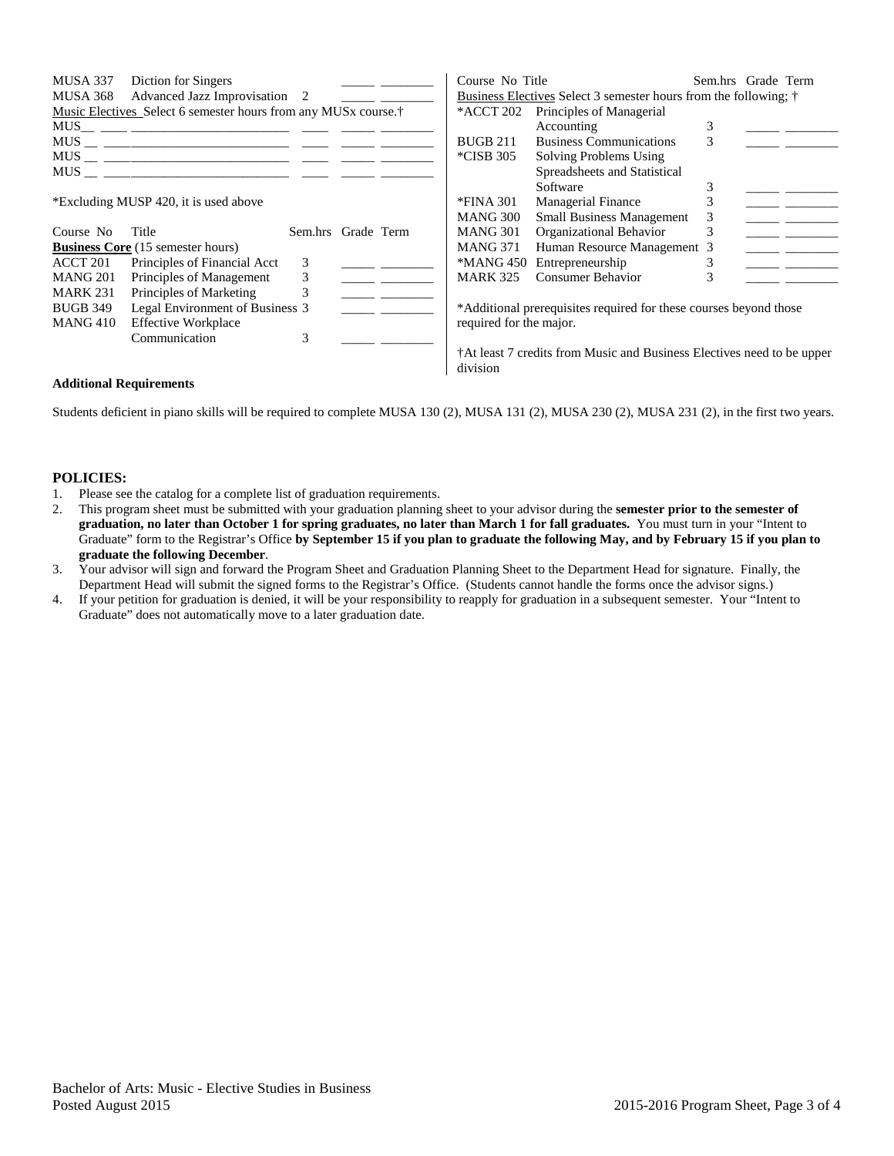| MUSA 337<br>MUSA 368                                                                                           | Diction for Singers<br>Advanced Jazz Improvisation 2<br>Music Electives Select 6 semester hours from any MUSx course. <sup>†</sup> |                    |  | Course No Title<br>*ACCT 202 | Business Electives Select 3 semester hours from the following; †<br>Principles of Managerial |   | Sem.hrs Grade Term |  |
|----------------------------------------------------------------------------------------------------------------|------------------------------------------------------------------------------------------------------------------------------------|--------------------|--|------------------------------|----------------------------------------------------------------------------------------------|---|--------------------|--|
| MUS                                                                                                            |                                                                                                                                    |                    |  |                              | Accounting                                                                                   |   |                    |  |
| MUS FOR THE STATE OF THE STATE OF THE STATE OF THE STATE OF THE STATE OF THE STATE OF THE STATE OF THE STATE O |                                                                                                                                    |                    |  | <b>BUGB 211</b>              | <b>Business Communications</b>                                                               | 3 |                    |  |
|                                                                                                                |                                                                                                                                    |                    |  | *CISB 305                    | Solving Problems Using                                                                       |   |                    |  |
| MUS FOR THE STATE OF THE STATE OF THE STATE OF THE STATE OF THE STATE OF THE STATE OF THE STATE OF THE STATE O |                                                                                                                                    |                    |  |                              | Spreadsheets and Statistical                                                                 |   |                    |  |
|                                                                                                                |                                                                                                                                    |                    |  |                              | Software                                                                                     |   |                    |  |
|                                                                                                                | *Excluding MUSP 420, it is used above                                                                                              |                    |  | *FINA 301                    | <b>Managerial Finance</b>                                                                    |   |                    |  |
|                                                                                                                |                                                                                                                                    |                    |  | MANG 300                     | <b>Small Business Management</b>                                                             | 3 |                    |  |
| Course No                                                                                                      | Title                                                                                                                              | Sem.hrs Grade Term |  | <b>MANG 301</b>              | Organizational Behavior                                                                      | 3 |                    |  |
|                                                                                                                | <b>Business Core</b> (15 semester hours)                                                                                           |                    |  | <b>MANG 371</b>              | Human Resource Management 3                                                                  |   |                    |  |
| ACCT 201                                                                                                       | Principles of Financial Acct                                                                                                       | 3                  |  | *MANG 450                    | Entrepreneurship                                                                             |   |                    |  |
| <b>MANG 201</b>                                                                                                | Principles of Management                                                                                                           | 3                  |  | <b>MARK 325</b>              | Consumer Behavior                                                                            |   |                    |  |
| <b>MARK 231</b>                                                                                                | Principles of Marketing                                                                                                            |                    |  |                              |                                                                                              |   |                    |  |
| <b>BUGB 349</b>                                                                                                | Legal Environment of Business 3                                                                                                    |                    |  |                              | *Additional prerequisites required for these courses beyond those                            |   |                    |  |
| MANG 410                                                                                                       | <b>Effective Workplace</b>                                                                                                         |                    |  | required for the major.      |                                                                                              |   |                    |  |
|                                                                                                                | Communication                                                                                                                      |                    |  |                              |                                                                                              |   |                    |  |
|                                                                                                                |                                                                                                                                    |                    |  |                              | <sup>†</sup> At least 7 credits from Music and Business Electives need to be upper           |   |                    |  |

### **Additional Requirements**

Students deficient in piano skills will be required to complete MUSA 130 (2), MUSA 131 (2), MUSA 230 (2), MUSA 231 (2), in the first two years.

division

#### **POLICIES:**

- 1. Please see the catalog for a complete list of graduation requirements.
- 2. This program sheet must be submitted with your graduation planning sheet to your advisor during the **semester prior to the semester of graduation, no later than October 1 for spring graduates, no later than March 1 for fall graduates.** You must turn in your "Intent to Graduate" form to the Registrar's Office **by September 15 if you plan to graduate the following May, and by February 15 if you plan to graduate the following December**.
- 3. Your advisor will sign and forward the Program Sheet and Graduation Planning Sheet to the Department Head for signature. Finally, the Department Head will submit the signed forms to the Registrar's Office. (Students cannot handle the forms once the advisor signs.)
- 4. If your petition for graduation is denied, it will be your responsibility to reapply for graduation in a subsequent semester. Your "Intent to Graduate" does not automatically move to a later graduation date.